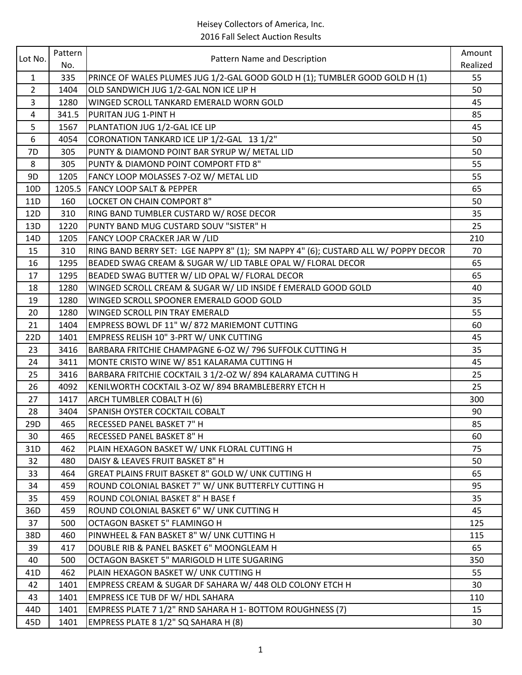| Lot No.         | Pattern |                                                                                    | Amount   |
|-----------------|---------|------------------------------------------------------------------------------------|----------|
|                 | No.     | Pattern Name and Description                                                       | Realized |
| $\mathbf{1}$    | 335     | PRINCE OF WALES PLUMES JUG 1/2-GAL GOOD GOLD H (1); TUMBLER GOOD GOLD H (1)        | 55       |
| $\overline{2}$  | 1404    | OLD SANDWICH JUG 1/2-GAL NON ICE LIP H                                             | 50       |
| 3               | 1280    | WINGED SCROLL TANKARD EMERALD WORN GOLD                                            | 45       |
| 4               | 341.5   | PURITAN JUG 1-PINT H                                                               | 85       |
| 5               | 1567    | PLANTATION JUG 1/2-GAL ICE LIP                                                     | 45       |
| 6               | 4054    | CORONATION TANKARD ICE LIP 1/2-GAL 13 1/2"                                         | 50       |
| 7D              | 305     | PUNTY & DIAMOND POINT BAR SYRUP W/ METAL LID                                       | 50       |
| 8               | 305     | PUNTY & DIAMOND POINT COMPORT FTD 8"                                               | 55       |
| 9D              | 1205    | FANCY LOOP MOLASSES 7-OZ W/ METAL LID                                              | 55       |
| 10 <sub>D</sub> | 1205.5  | <b>FANCY LOOP SALT &amp; PEPPER</b>                                                | 65       |
| 11D             | 160     | LOCKET ON CHAIN COMPORT 8"                                                         | 50       |
| 12D             | 310     | RING BAND TUMBLER CUSTARD W/ ROSE DECOR                                            | 35       |
| 13D             | 1220    | PUNTY BAND MUG CUSTARD SOUV "SISTER" H                                             | 25       |
| 14D             | 1205    | FANCY LOOP CRACKER JAR W / LID                                                     | 210      |
| 15              | 310     | RING BAND BERRY SET: LGE NAPPY 8" (1); SM NAPPY 4" (6); CUSTARD ALL W/ POPPY DECOR | 70       |
| 16              | 1295    | BEADED SWAG CREAM & SUGAR W/ LID TABLE OPAL W/ FLORAL DECOR                        | 65       |
| 17              | 1295    | BEADED SWAG BUTTER W/ LID OPAL W/ FLORAL DECOR                                     | 65       |
| 18              | 1280    | WINGED SCROLL CREAM & SUGAR W/ LID INSIDE f EMERALD GOOD GOLD                      | 40       |
| 19              | 1280    | WINGED SCROLL SPOONER EMERALD GOOD GOLD                                            | 35       |
| 20              | 1280    | WINGED SCROLL PIN TRAY EMERALD                                                     | 55       |
| 21              | 1404    | EMPRESS BOWL DF 11" W/ 872 MARIEMONT CUTTING                                       | 60       |
| 22D             | 1401    | EMPRESS RELISH 10" 3-PRT W/ UNK CUTTING                                            | 45       |
| 23              | 3416    | BARBARA FRITCHIE CHAMPAGNE 6-OZ W/ 796 SUFFOLK CUTTING H                           | 35       |
| 24              | 3411    | MONTE CRISTO WINE W/851 KALARAMA CUTTING H                                         | 45       |
| 25              | 3416    | BARBARA FRITCHIE COCKTAIL 3 1/2-OZ W/ 894 KALARAMA CUTTING H                       | 25       |
| 26              | 4092    | KENILWORTH COCKTAIL 3-OZ W/894 BRAMBLEBERRY ETCH H                                 | 25       |
| 27              | 1417    | ARCH TUMBLER COBALT H (6)                                                          | 300      |
| 28              | 3404    | SPANISH OYSTER COCKTAIL COBALT                                                     | 90       |
| 29D             | 465     | <b>RECESSED PANEL BASKET 7" H</b>                                                  | 85       |
| 30              | 465     | RECESSED PANEL BASKET 8" H                                                         | 60       |
| 31D             | 462     | PLAIN HEXAGON BASKET W/ UNK FLORAL CUTTING H                                       | 75       |
| 32              | 480     | DAISY & LEAVES FRUIT BASKET 8" H                                                   | 50       |
| 33              | 464     | GREAT PLAINS FRUIT BASKET 8" GOLD W/ UNK CUTTING H                                 | 65       |
| 34              | 459     | ROUND COLONIAL BASKET 7" W/ UNK BUTTERFLY CUTTING H                                | 95       |
| 35              | 459     | ROUND COLONIAL BASKET 8" H BASE f                                                  | 35       |
| 36D             | 459     | ROUND COLONIAL BASKET 6" W/ UNK CUTTING H                                          | 45       |
| 37              | 500     | <b>OCTAGON BASKET 5" FLAMINGO H</b>                                                | 125      |
| 38D             | 460     | PINWHEEL & FAN BASKET 8" W/ UNK CUTTING H                                          | 115      |
| 39              | 417     | DOUBLE RIB & PANEL BASKET 6" MOONGLEAM H                                           | 65       |
| 40              | 500     | OCTAGON BASKET 5" MARIGOLD H LITE SUGARING                                         | 350      |
| 41 <sub>D</sub> | 462     | PLAIN HEXAGON BASKET W/ UNK CUTTING H                                              | 55       |
| 42              | 1401    | EMPRESS CREAM & SUGAR DF SAHARA W/ 448 OLD COLONY ETCH H                           | 30       |
| 43              | 1401    | EMPRESS ICE TUB DF W/ HDL SAHARA                                                   | 110      |
| 44D             | 1401    | EMPRESS PLATE 7 1/2" RND SAHARA H 1- BOTTOM ROUGHNESS (7)                          | 15       |
| 45D             | 1401    | EMPRESS PLATE 8 1/2" SQ SAHARA H (8)                                               | 30       |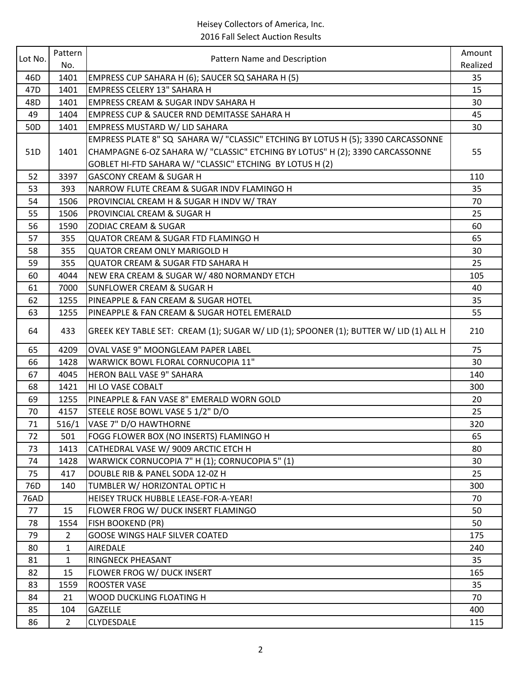|                 | Pattern      |                                                                                        | Amount   |
|-----------------|--------------|----------------------------------------------------------------------------------------|----------|
| Lot No.         | No.          | Pattern Name and Description                                                           | Realized |
| 46D             | 1401         | EMPRESS CUP SAHARA H (6); SAUCER SQ SAHARA H (5)                                       | 35       |
| 47D             | 1401         | <b>EMPRESS CELERY 13" SAHARA H</b>                                                     | 15       |
| 48D             | 1401         | <b>EMPRESS CREAM &amp; SUGAR INDV SAHARA H</b>                                         | 30       |
| 49              | 1404         | EMPRESS CUP & SAUCER RND DEMITASSE SAHARA H                                            | 45       |
| 50 <sub>D</sub> | 1401         | EMPRESS MUSTARD W/ LID SAHARA                                                          | 30       |
|                 |              | EMPRESS PLATE 8" SQ SAHARA W/ "CLASSIC" ETCHING BY LOTUS H (5); 3390 CARCASSONNE       |          |
| 51D             | 1401         | CHAMPAGNE 6-OZ SAHARA W/ "CLASSIC" ETCHING BY LOTUS" H (2); 3390 CARCASSONNE           | 55       |
|                 |              | GOBLET HI-FTD SAHARA W/ "CLASSIC" ETCHING BY LOTUS H (2)                               |          |
| 52              | 3397         | <b>GASCONY CREAM &amp; SUGAR H</b>                                                     | 110      |
| 53              | 393          | NARROW FLUTE CREAM & SUGAR INDV FLAMINGO H                                             | 35       |
| 54              | 1506         | PROVINCIAL CREAM H & SUGAR H INDV W/ TRAY                                              | 70       |
| 55              | 1506         | PROVINCIAL CREAM & SUGAR H                                                             | 25       |
| 56              | 1590         | <b>ZODIAC CREAM &amp; SUGAR</b>                                                        | 60       |
| 57              | 355          | QUATOR CREAM & SUGAR FTD FLAMINGO H                                                    | 65       |
| 58              | 355          | <b>QUATOR CREAM ONLY MARIGOLD H</b>                                                    | 30       |
| 59              | 355          | <b>QUATOR CREAM &amp; SUGAR FTD SAHARA H</b>                                           | 25       |
| 60              | 4044         | NEW ERA CREAM & SUGAR W/480 NORMANDY ETCH                                              | 105      |
| 61              | 7000         | <b>SUNFLOWER CREAM &amp; SUGAR H</b>                                                   | 40       |
| 62              | 1255         | PINEAPPLE & FAN CREAM & SUGAR HOTEL                                                    | 35       |
| 63              | 1255         | PINEAPPLE & FAN CREAM & SUGAR HOTEL EMERALD                                            | 55       |
| 64              | 433          | GREEK KEY TABLE SET: CREAM (1); SUGAR W/ LID (1); SPOONER (1); BUTTER W/ LID (1) ALL H | 210      |
| 65              | 4209         | OVAL VASE 9" MOONGLEAM PAPER LABEL                                                     | 75       |
| 66              | 1428         | WARWICK BOWL FLORAL CORNUCOPIA 11"                                                     | 30       |
| 67              | 4045         | HERON BALL VASE 9" SAHARA                                                              | 140      |
| 68              | 1421         | HI LO VASE COBALT                                                                      | 300      |
| 69              | 1255         | PINEAPPLE & FAN VASE 8" EMERALD WORN GOLD                                              | 20       |
| 70              | 4157         | STEELE ROSE BOWL VASE 5 1/2" D/O                                                       | 25       |
| 71              | 516/1        | VASE 7" D/O HAWTHORNE                                                                  | 320      |
| 72              | 501          | FOGG FLOWER BOX (NO INSERTS) FLAMINGO H                                                | 65       |
| 73              | 1413         | CATHEDRAL VASE W/ 9009 ARCTIC ETCH H                                                   | 80       |
| 74              | 1428         | WARWICK CORNUCOPIA 7" H (1); CORNUCOPIA 5" (1)                                         | 30       |
| 75              | 417          | DOUBLE RIB & PANEL SODA 12-0Z H                                                        | 25       |
| 76D             | 140          | TUMBLER W/ HORIZONTAL OPTIC H                                                          | 300      |
| 76AD            |              | HEISEY TRUCK HUBBLE LEASE-FOR-A-YEAR!                                                  | 70       |
| 77              | 15           | FLOWER FROG W/ DUCK INSERT FLAMINGO                                                    | 50       |
| 78              | 1554         | <b>FISH BOOKEND (PR)</b>                                                               | 50       |
| 79              | $2^{\circ}$  | <b>GOOSE WINGS HALF SILVER COATED</b>                                                  | 175      |
| 80              | $\mathbf{1}$ | <b>AIREDALE</b>                                                                        | 240      |
| 81              | $\mathbf{1}$ | <b>RINGNECK PHEASANT</b>                                                               | 35       |
| 82              | 15           | FLOWER FROG W/ DUCK INSERT                                                             | 165      |
| 83              | 1559         | <b>ROOSTER VASE</b>                                                                    | 35       |
| 84              | 21           | WOOD DUCKLING FLOATING H                                                               | 70       |
| 85              | 104          | <b>GAZELLE</b>                                                                         | 400      |
| 86              | $2^{\circ}$  | <b>CLYDESDALE</b>                                                                      | 115      |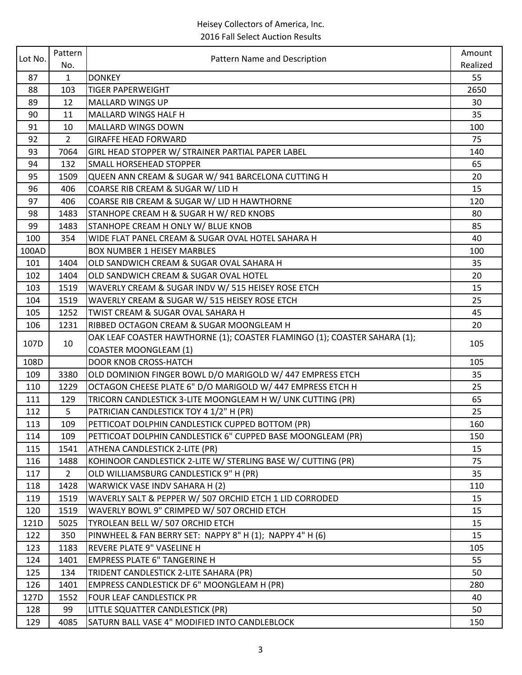| Lot No. | Pattern<br>No. | Pattern Name and Description                                              | Amount   |
|---------|----------------|---------------------------------------------------------------------------|----------|
|         |                |                                                                           | Realized |
| 87      | $\mathbf{1}$   | <b>DONKEY</b>                                                             | 55       |
| 88      | 103            | <b>TIGER PAPERWEIGHT</b>                                                  | 2650     |
| 89      | 12             | <b>MALLARD WINGS UP</b>                                                   | 30       |
| 90      | 11             | MALLARD WINGS HALF H                                                      | 35       |
| 91      | 10             | MALLARD WINGS DOWN                                                        | 100      |
| 92      | $\overline{2}$ | <b>GIRAFFE HEAD FORWARD</b>                                               | 75       |
| 93      | 7064           | GIRL HEAD STOPPER W/ STRAINER PARTIAL PAPER LABEL                         | 140      |
| 94      | 132            | SMALL HORSEHEAD STOPPER                                                   | 65       |
| 95      | 1509           | QUEEN ANN CREAM & SUGAR W/941 BARCELONA CUTTING H                         | 20       |
| 96      | 406            | COARSE RIB CREAM & SUGAR W/ LID H                                         | 15       |
| 97      | 406            | COARSE RIB CREAM & SUGAR W/ LID H HAWTHORNE                               | 120      |
| 98      | 1483           | STANHOPE CREAM H & SUGAR H W/ RED KNOBS                                   | 80       |
| 99      | 1483           | STANHOPE CREAM H ONLY W/ BLUE KNOB                                        | 85       |
| 100     | 354            | WIDE FLAT PANEL CREAM & SUGAR OVAL HOTEL SAHARA H                         | 40       |
| 100AD   |                | <b>BOX NUMBER 1 HEISEY MARBLES</b>                                        | 100      |
| 101     | 1404           | OLD SANDWICH CREAM & SUGAR OVAL SAHARA H                                  | 35       |
| 102     | 1404           | OLD SANDWICH CREAM & SUGAR OVAL HOTEL                                     | 20       |
| 103     | 1519           | WAVERLY CREAM & SUGAR INDV W/ 515 HEISEY ROSE ETCH                        | 15       |
| 104     | 1519           | WAVERLY CREAM & SUGAR W/ 515 HEISEY ROSE ETCH                             | 25       |
| 105     | 1252           | TWIST CREAM & SUGAR OVAL SAHARA H                                         | 45       |
| 106     | 1231           | RIBBED OCTAGON CREAM & SUGAR MOONGLEAM H                                  | 20       |
| 107D    |                | OAK LEAF COASTER HAWTHORNE (1); COASTER FLAMINGO (1); COASTER SAHARA (1); | 105      |
|         | 10             | <b>COASTER MOONGLEAM (1)</b>                                              |          |
| 108D    |                | <b>DOOR KNOB CROSS-HATCH</b>                                              | 105      |
| 109     | 3380           | OLD DOMINION FINGER BOWL D/O MARIGOLD W/ 447 EMPRESS ETCH                 | 35       |
| 110     | 1229           | OCTAGON CHEESE PLATE 6" D/O MARIGOLD W/ 447 EMPRESS ETCH H                | 25       |
| 111     | 129            | TRICORN CANDLESTICK 3-LITE MOONGLEAM H W/ UNK CUTTING (PR)                | 65       |
| 112     | 5              | PATRICIAN CANDLESTICK TOY 4 1/2" H (PR)                                   | 25       |
| 113     | 109            | PETTICOAT DOLPHIN CANDLESTICK CUPPED BOTTOM (PR)                          | 160      |
| 114     | 109            | PETTICOAT DOLPHIN CANDLESTICK 6" CUPPED BASE MOONGLEAM (PR)               | 150      |
| 115     | 1541           | ATHENA CANDLESTICK 2-LITE (PR)                                            | 15       |
| 116     | 1488           | KOHINOOR CANDLESTICK 2-LITE W/ STERLING BASE W/ CUTTING (PR)              | 75       |
| 117     | $\mathbf{2}$   | OLD WILLIAMSBURG CANDLESTICK 9" H (PR)                                    | 35       |
| 118     | 1428           | WARWICK VASE INDV SAHARA H (2)                                            | 110      |
| 119     | 1519           | WAVERLY SALT & PEPPER W/ 507 ORCHID ETCH 1 LID CORRODED                   | 15       |
| 120     | 1519           | WAVERLY BOWL 9" CRIMPED W/ 507 ORCHID ETCH                                | 15       |
| 121D    | 5025           | TYROLEAN BELL W/ 507 ORCHID ETCH                                          | 15       |
| 122     | 350            | PINWHEEL & FAN BERRY SET: NAPPY 8" H (1); NAPPY 4" H (6)                  | 15       |
| 123     | 1183           | REVERE PLATE 9" VASELINE H                                                | 105      |
| 124     | 1401           | <b>EMPRESS PLATE 6" TANGERINE H</b>                                       | 55       |
| 125     | 134            | TRIDENT CANDLESTICK 2-LITE SAHARA (PR)                                    | 50       |
| 126     | 1401           | EMPRESS CANDLESTICK DF 6" MOONGLEAM H (PR)                                | 280      |
| 127D    | 1552           | FOUR LEAF CANDLESTICK PR                                                  | 40       |
| 128     | 99             | LITTLE SQUATTER CANDLESTICK (PR)                                          | 50       |
| 129     | 4085           | SATURN BALL VASE 4" MODIFIED INTO CANDLEBLOCK                             | 150      |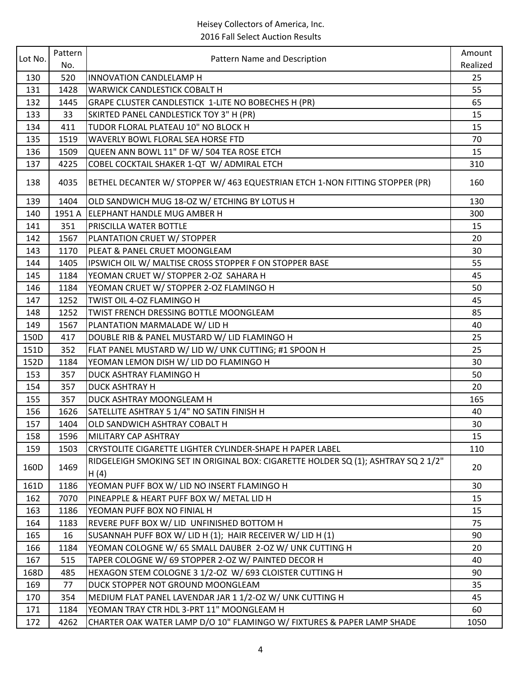| Lot No. | Pattern | Pattern Name and Description                                                               | Amount   |
|---------|---------|--------------------------------------------------------------------------------------------|----------|
|         | No.     |                                                                                            | Realized |
| 130     | 520     | INNOVATION CANDLELAMP H                                                                    | 25       |
| 131     | 1428    | <b>WARWICK CANDLESTICK COBALT H</b>                                                        | 55       |
| 132     | 1445    | GRAPE CLUSTER CANDLESTICK 1-LITE NO BOBECHES H (PR)                                        | 65       |
| 133     | 33      | SKIRTED PANEL CANDLESTICK TOY 3" H (PR)                                                    | 15       |
| 134     | 411     | TUDOR FLORAL PLATEAU 10" NO BLOCK H                                                        | 15       |
| 135     | 1519    | WAVERLY BOWL FLORAL SEA HORSE FTD                                                          | 70       |
| 136     | 1509    | QUEEN ANN BOWL 11" DF W/ 504 TEA ROSE ETCH                                                 | 15       |
| 137     | 4225    | COBEL COCKTAIL SHAKER 1-QT W/ ADMIRAL ETCH                                                 | 310      |
| 138     | 4035    | BETHEL DECANTER W/ STOPPER W/ 463 EQUESTRIAN ETCH 1-NON FITTING STOPPER (PR)               | 160      |
| 139     | 1404    | OLD SANDWICH MUG 18-OZ W/ ETCHING BY LOTUS H                                               | 130      |
| 140     | 1951 A  | <b>ELEPHANT HANDLE MUG AMBER H</b>                                                         | 300      |
| 141     | 351     | PRISCILLA WATER BOTTLE                                                                     | 15       |
| 142     | 1567    | PLANTATION CRUET W/ STOPPER                                                                | 20       |
| 143     | 1170    | PLEAT & PANEL CRUET MOONGLEAM                                                              | 30       |
| 144     | 1405    | IPSWICH OIL W/ MALTISE CROSS STOPPER F ON STOPPER BASE                                     | 55       |
| 145     | 1184    | YEOMAN CRUET W/ STOPPER 2-OZ SAHARA H                                                      | 45       |
| 146     | 1184    | YEOMAN CRUET W/ STOPPER 2-OZ FLAMINGO H                                                    | 50       |
| 147     | 1252    | TWIST OIL 4-OZ FLAMINGO H                                                                  | 45       |
| 148     | 1252    | TWIST FRENCH DRESSING BOTTLE MOONGLEAM                                                     | 85       |
| 149     | 1567    | PLANTATION MARMALADE W/ LID H                                                              | 40       |
| 150D    | 417     | DOUBLE RIB & PANEL MUSTARD W/ LID FLAMINGO H                                               | 25       |
| 151D    | 352     | FLAT PANEL MUSTARD W/ LID W/ UNK CUTTING; #1 SPOON H                                       | 25       |
| 152D    | 1184    | YEOMAN LEMON DISH W/ LID DO FLAMINGO H                                                     | 30       |
| 153     | 357     | DUCK ASHTRAY FLAMINGO H                                                                    | 50       |
| 154     | 357     | <b>DUCK ASHTRAY H</b>                                                                      | 20       |
| 155     | 357     | DUCK ASHTRAY MOONGLEAM H                                                                   | 165      |
| 156     | 1626    | SATELLITE ASHTRAY 5 1/4" NO SATIN FINISH H                                                 | 40       |
| 157     | 1404    | OLD SANDWICH ASHTRAY COBALT H                                                              | 30       |
| 158     | 1596    | <b>MILITARY CAP ASHTRAY</b>                                                                | 15       |
| 159     | 1503    | CRYSTOLITE CIGARETTE LIGHTER CYLINDER-SHAPE H PAPER LABEL                                  | 110      |
| 160D    | 1469    | RIDGELEIGH SMOKING SET IN ORIGINAL BOX: CIGARETTE HOLDER SQ (1); ASHTRAY SQ 2 1/2"<br>H(4) | 20       |
| 161D    | 1186    | YEOMAN PUFF BOX W/ LID NO INSERT FLAMINGO H                                                | 30       |
| 162     | 7070    | PINEAPPLE & HEART PUFF BOX W/ METAL LID H                                                  | 15       |
| 163     | 1186    | YEOMAN PUFF BOX NO FINIAL H                                                                | 15       |
| 164     | 1183    | REVERE PUFF BOX W/ LID UNFINISHED BOTTOM H                                                 | 75       |
| 165     | 16      | SUSANNAH PUFF BOX W/ LID H (1); HAIR RECEIVER W/ LID H (1)                                 | 90       |
| 166     | 1184    | YEOMAN COLOGNE W/ 65 SMALL DAUBER 2-OZ W/ UNK CUTTING H                                    | 20       |
| 167     | 515     | TAPER COLOGNE W/ 69 STOPPER 2-OZ W/ PAINTED DECOR H                                        | 40       |
| 168D    | 485     | HEXAGON STEM COLOGNE 3 1/2-OZ W/ 693 CLOISTER CUTTING H                                    | 90       |
| 169     | 77      | DUCK STOPPER NOT GROUND MOONGLEAM                                                          | 35       |
| 170     | 354     | MEDIUM FLAT PANEL LAVENDAR JAR 1 1/2-OZ W/ UNK CUTTING H                                   | 45       |
| 171     | 1184    | YEOMAN TRAY CTR HDL 3-PRT 11" MOONGLEAM H                                                  | 60       |
| 172     | 4262    | CHARTER OAK WATER LAMP D/O 10" FLAMINGO W/ FIXTURES & PAPER LAMP SHADE                     | 1050     |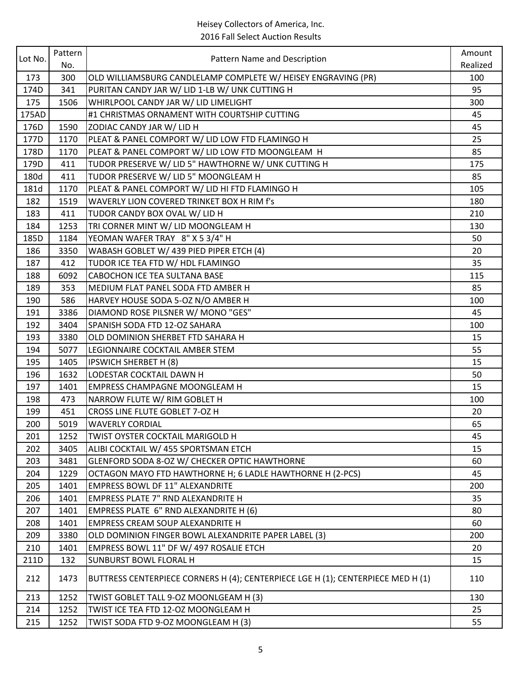| Lot No. | Pattern<br>No. | Pattern Name and Description                                                     | Amount   |
|---------|----------------|----------------------------------------------------------------------------------|----------|
|         |                |                                                                                  | Realized |
| 173     | 300            | OLD WILLIAMSBURG CANDLELAMP COMPLETE W/ HEISEY ENGRAVING (PR)                    | 100      |
| 174D    | 341            | PURITAN CANDY JAR W/ LID 1-LB W/ UNK CUTTING H                                   | 95       |
| 175     | 1506           | WHIRLPOOL CANDY JAR W/ LID LIMELIGHT                                             | 300      |
| 175AD   |                | #1 CHRISTMAS ORNAMENT WITH COURTSHIP CUTTING                                     | 45       |
| 176D    | 1590           | ZODIAC CANDY JAR W/ LID H                                                        | 45       |
| 177D    | 1170           | PLEAT & PANEL COMPORT W/ LID LOW FTD FLAMINGO H                                  | 25       |
| 178D    | 1170           | PLEAT & PANEL COMPORT W/ LID LOW FTD MOONGLEAM H                                 | 85       |
| 179D    | 411            | TUDOR PRESERVE W/ LID 5" HAWTHORNE W/ UNK CUTTING H                              | 175      |
| 180d    | 411            | TUDOR PRESERVE W/ LID 5" MOONGLEAM H                                             | 85       |
| 181d    | 1170           | PLEAT & PANEL COMPORT W/ LID HI FTD FLAMINGO H                                   | 105      |
| 182     | 1519           | WAVERLY LION COVERED TRINKET BOX H RIM f's                                       | 180      |
| 183     | 411            | TUDOR CANDY BOX OVAL W/ LID H                                                    | 210      |
| 184     | 1253           | TRI CORNER MINT W/ LID MOONGLEAM H                                               | 130      |
| 185D    | 1184           | YEOMAN WAFER TRAY 8" X 5 3/4" H                                                  | 50       |
| 186     | 3350           | WABASH GOBLET W/ 439 PIED PIPER ETCH (4)                                         | 20       |
| 187     | 412            | TUDOR ICE TEA FTD W/ HDL FLAMINGO                                                | 35       |
| 188     | 6092           | CABOCHON ICE TEA SULTANA BASE                                                    | 115      |
| 189     | 353            | MEDIUM FLAT PANEL SODA FTD AMBER H                                               | 85       |
| 190     | 586            | HARVEY HOUSE SODA 5-OZ N/O AMBER H                                               | 100      |
| 191     | 3386           | DIAMOND ROSE PILSNER W/ MONO "GES"                                               | 45       |
| 192     | 3404           | SPANISH SODA FTD 12-OZ SAHARA                                                    | 100      |
| 193     | 3380           | OLD DOMINION SHERBET FTD SAHARA H                                                | 15       |
| 194     | 5077           | LEGIONNAIRE COCKTAIL AMBER STEM                                                  | 55       |
| 195     | 1405           | <b>IPSWICH SHERBET H (8)</b>                                                     | 15       |
| 196     | 1632           | LODESTAR COCKTAIL DAWN H                                                         | 50       |
| 197     | 1401           | <b>EMPRESS CHAMPAGNE MOONGLEAM H</b>                                             | 15       |
| 198     | 473            | NARROW FLUTE W/ RIM GOBLET H                                                     | 100      |
| 199     | 451            | CROSS LINE FLUTE GOBLET 7-OZ H                                                   | 20       |
| 200     | 5019           | <b>WAVERLY CORDIAL</b>                                                           | 65       |
| 201     | 1252           | TWIST OYSTER COCKTAIL MARIGOLD H                                                 | 45       |
| 202     | 3405           | ALIBI COCKTAIL W/ 455 SPORTSMAN ETCH                                             | 15       |
| 203     | 3481           | GLENFORD SODA 8-OZ W/ CHECKER OPTIC HAWTHORNE                                    | 60       |
| 204     | 1229           | OCTAGON MAYO FTD HAWTHORNE H; 6 LADLE HAWTHORNE H (2-PCS)                        | 45       |
| 205     | 1401           | <b>EMPRESS BOWL DF 11" ALEXANDRITE</b>                                           | 200      |
| 206     | 1401           | <b>EMPRESS PLATE 7" RND ALEXANDRITE H</b>                                        | 35       |
| 207     | 1401           | EMPRESS PLATE 6" RND ALEXANDRITE H (6)                                           | 80       |
| 208     | 1401           | EMPRESS CREAM SOUP ALEXANDRITE H                                                 | 60       |
| 209     | 3380           | OLD DOMINION FINGER BOWL ALEXANDRITE PAPER LABEL (3)                             | 200      |
| 210     | 1401           | EMPRESS BOWL 11" DF W/ 497 ROSALIE ETCH                                          | 20       |
| 211D    | 132            | <b>SUNBURST BOWL FLORAL H</b>                                                    | 15       |
| 212     | 1473           | BUTTRESS CENTERPIECE CORNERS H (4); CENTERPIECE LGE H (1); CENTERPIECE MED H (1) | 110      |
| 213     | 1252           | TWIST GOBLET TALL 9-OZ MOONLGEAM H (3)                                           | 130      |
| 214     | 1252           | TWIST ICE TEA FTD 12-OZ MOONGLEAM H                                              | 25       |
| 215     | 1252           | TWIST SODA FTD 9-OZ MOONGLEAM H (3)                                              | 55       |